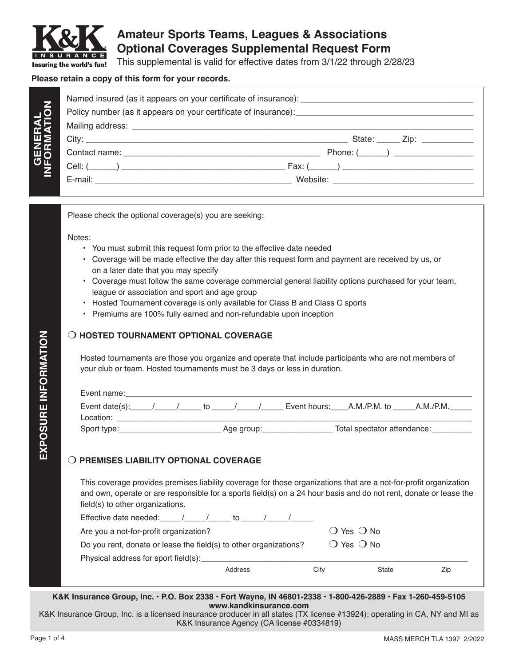

**GENERAL INFORMATION**

**NOITAT** 

# **Amateur Sports Teams, Leagues & Associations Optional Coverages Supplemental Request Form**

This supplemental is valid for effective dates from 3/1/22 through 2/28/23

#### **Please retain a copy of this form for your records.**

| State: $\qquad \qquad \text{Zip:} \qquad \qquad \qquad$ |
|---------------------------------------------------------|
|                                                         |
|                                                         |
|                                                         |

Please check the optional coverage(s) you are seeking:

Notes:

- You must submit this request form prior to the effective date needed
- Coverage will be made effective the day after this request form and payment are received by us, or on a later date that you may specify
- Coverage must follow the same coverage commercial general liability options purchased for your team, league or association and sport and age group
- Hosted Tournament coverage is only available for Class B and Class C sports
- Premiums are 100% fully earned and non-refundable upon inception

## **O HOSTED TOURNAMENT OPTIONAL COVERAGE**

Hosted tournaments are those you organize and operate that include participants who are not members of your club or team. Hosted tournaments must be 3 days or less in duration.

| Event name:                             |  |    |            |                           |                             |           |
|-----------------------------------------|--|----|------------|---------------------------|-----------------------------|-----------|
| Event date(s): $\overline{\phantom{a}}$ |  | īΩ |            | Event hours: A.M./P.M. to |                             | A.M./P.M. |
| Location:                               |  |    |            |                           |                             |           |
| Sport type:                             |  |    | Age group: |                           | Total spectator attendance: |           |

## **O PREMISES LIABILITY OPTIONAL COVERAGE**

This coverage provides premises liability coverage for those organizations that are a not-for-profit organization and own, operate or are responsible for a sports field(s) on a 24 hour basis and do not rent, donate or lease the field(s) to other organizations.

| Effective date needed: /<br>to                                    |                              |       |     |
|-------------------------------------------------------------------|------------------------------|-------|-----|
| Are you a not-for-profit organization?                            | $\bigcirc$ Yes $\bigcirc$ No |       |     |
| Do you rent, donate or lease the field(s) to other organizations? | $\bigcirc$ Yes $\bigcirc$ No |       |     |
| Physical address for sport field(s):                              |                              |       |     |
| Address                                                           | City                         | State | Zip |

#### **K&K Insurance Group, Inc. • P.O. Box 2338 • Fort Wayne, IN 46801-2338 • 1-800-426-2889 • Fax 1-260-459-5105 www.kandkinsurance.com**

K&K Insurance Group, Inc. is a licensed insurance producer in all states (TX license #13924); operating in CA, NY and MI as K&K Insurance Agency (CA license #0334819)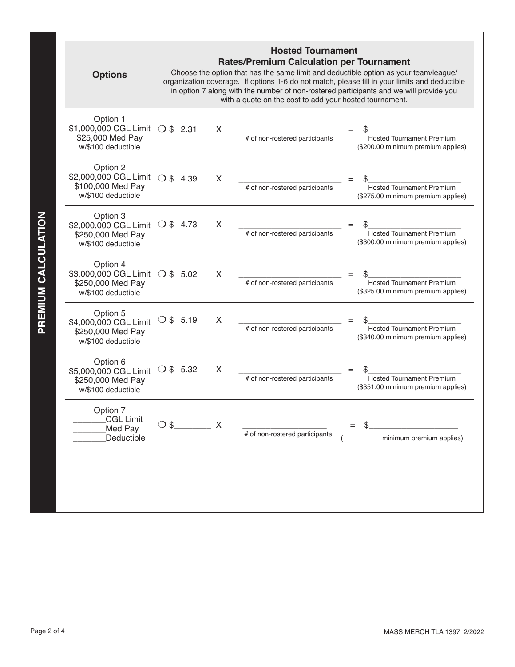| <b>Options</b>                                                               | <b>Hosted Tournament</b><br><b>Rates/Premium Calculation per Tournament</b><br>Choose the option that has the same limit and deductible option as your team/league/<br>organization coverage. If options 1-6 do not match, please fill in your limits and deductible<br>in option 7 along with the number of non-rostered participants and we will provide you<br>with a quote on the cost to add your hosted tournament. |                                |                                                                        |  |  |  |
|------------------------------------------------------------------------------|---------------------------------------------------------------------------------------------------------------------------------------------------------------------------------------------------------------------------------------------------------------------------------------------------------------------------------------------------------------------------------------------------------------------------|--------------------------------|------------------------------------------------------------------------|--|--|--|
| Option 1<br>\$1,000,000 CGL Limit<br>\$25,000 Med Pay<br>w/\$100 deductible  | $\bigcirc$ \$ 2.31<br>X                                                                                                                                                                                                                                                                                                                                                                                                   | # of non-rostered participants | <b>Hosted Tournament Premium</b><br>(\$200.00 minimum premium applies) |  |  |  |
| Option 2<br>\$2,000,000 CGL Limit<br>\$100,000 Med Pay<br>w/\$100 deductible | $\circ$ s<br>X<br>4.39                                                                                                                                                                                                                                                                                                                                                                                                    | # of non-rostered participants | <b>Hosted Tournament Premium</b><br>(\$275.00 minimum premium applies) |  |  |  |
| Option 3<br>\$2,000,000 CGL Limit<br>\$250,000 Med Pay<br>w/\$100 deductible | $()$ \$ 4.73<br>X                                                                                                                                                                                                                                                                                                                                                                                                         | # of non-rostered participants | <b>Hosted Tournament Premium</b><br>(\$300.00 minimum premium applies) |  |  |  |
| Option 4<br>\$3,000,000 CGL Limit<br>\$250,000 Med Pay<br>w/\$100 deductible | $($ ) \$ 5.02<br>X                                                                                                                                                                                                                                                                                                                                                                                                        | # of non-rostered participants | <b>Hosted Tournament Premium</b><br>(\$325.00 minimum premium applies) |  |  |  |
| Option 5<br>\$4,000,000 CGL Limit<br>\$250,000 Med Pay<br>w/\$100 deductible | O \$5.19<br>X                                                                                                                                                                                                                                                                                                                                                                                                             | # of non-rostered participants | <b>Hosted Tournament Premium</b><br>(\$340.00 minimum premium applies) |  |  |  |
| Option 6<br>\$5,000,000 CGL Limit<br>\$250,000 Med Pay<br>w/\$100 deductible | $\bigcirc$ \$ 5.32<br>X                                                                                                                                                                                                                                                                                                                                                                                                   | # of non-rostered participants | <b>Hosted Tournament Premium</b><br>(\$351.00 minimum premium applies) |  |  |  |
| Option 7<br><b>CGL Limit</b><br>Med Pay<br>Deductible                        | $\circ$ s<br>X                                                                                                                                                                                                                                                                                                                                                                                                            | # of non-rostered participants | minimum premium applies)                                               |  |  |  |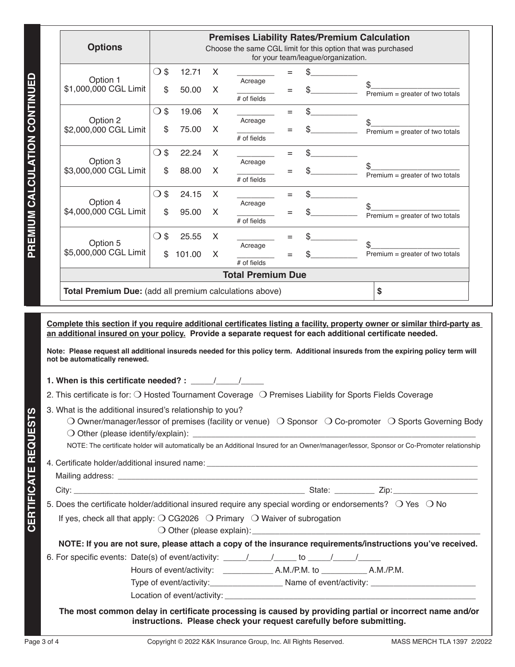|                                                                                                                                                                                                                                                    |               |        |                           |                          |     |                                    | <b>Premises Liability Rates/Premium Calculation</b><br>Choose the same CGL limit for this option that was purchased                                                                                                                                                                                                                                                       |
|----------------------------------------------------------------------------------------------------------------------------------------------------------------------------------------------------------------------------------------------------|---------------|--------|---------------------------|--------------------------|-----|------------------------------------|---------------------------------------------------------------------------------------------------------------------------------------------------------------------------------------------------------------------------------------------------------------------------------------------------------------------------------------------------------------------------|
|                                                                                                                                                                                                                                                    |               |        |                           |                          |     | for your team/league/organization. |                                                                                                                                                                                                                                                                                                                                                                           |
|                                                                                                                                                                                                                                                    | $\bigcirc$ \$ | 12.71  | $\boldsymbol{\mathsf{X}}$ |                          | Ξ   |                                    |                                                                                                                                                                                                                                                                                                                                                                           |
| Option 1<br>\$1,000,000 CGL Limit                                                                                                                                                                                                                  | \$            | 50.00  | X                         | Acreage<br>$#$ of fields | Ξ   |                                    | \$<br>Premium = greater of two totals                                                                                                                                                                                                                                                                                                                                     |
| Option 2                                                                                                                                                                                                                                           | $\bigcirc$ \$ | 19.06  | X                         |                          | $=$ | \$                                 |                                                                                                                                                                                                                                                                                                                                                                           |
| \$2,000,000 CGL Limit                                                                                                                                                                                                                              | \$            | 75.00  | X                         | Acreage<br># of fields   | $=$ |                                    | \$<br>Premium = greater of two totals                                                                                                                                                                                                                                                                                                                                     |
| Option 3                                                                                                                                                                                                                                           | $\bigcirc$ \$ | 22.24  | X                         | Acreage                  | $=$ | \$                                 |                                                                                                                                                                                                                                                                                                                                                                           |
| \$3,000,000 CGL Limit                                                                                                                                                                                                                              | \$            | 88.00  | X                         | $#$ of fields            | Ξ   |                                    | \$<br>Premium = greater of two totals                                                                                                                                                                                                                                                                                                                                     |
| Option 4                                                                                                                                                                                                                                           | $\bigcirc$ \$ | 24.15  | X                         | Acreage                  | $=$ | \$                                 | \$                                                                                                                                                                                                                                                                                                                                                                        |
| \$4,000,000 CGL Limit                                                                                                                                                                                                                              | \$            | 95.00  | X                         | # of fields              | Ξ   |                                    | Premium = greater of two totals                                                                                                                                                                                                                                                                                                                                           |
| Option 5                                                                                                                                                                                                                                           | $\bigcirc$ \$ | 25.55  | X.                        | Acreage                  | $=$ |                                    | \$                                                                                                                                                                                                                                                                                                                                                                        |
| \$5,000,000 CGL Limit                                                                                                                                                                                                                              | \$            | 101.00 | X                         | $#$ of fields            | Ξ   |                                    | Premium = greater of two totals                                                                                                                                                                                                                                                                                                                                           |
|                                                                                                                                                                                                                                                    |               |        |                           | <b>Total Premium Due</b> |     |                                    |                                                                                                                                                                                                                                                                                                                                                                           |
| Total Premium Due: (add all premium calculations above)                                                                                                                                                                                            |               |        |                           |                          |     |                                    | \$                                                                                                                                                                                                                                                                                                                                                                        |
|                                                                                                                                                                                                                                                    |               |        |                           |                          |     |                                    | Complete this section if you require additional certificates listing a facility, property owner or similar third-party as<br>an additional insured on your policy. Provide a separate request for each additional certificate needed.<br>Note: Please request all additional insureds needed for this policy term. Additional insureds from the expiring policy term will |
| not be automatically renewed.<br>1. When is this certificate needed? : $\frac{1}{\sqrt{1-\frac{1}{2}}}\frac{1}{\sqrt{1-\frac{1}{2}}}}$<br>2. This certificate is for: O Hosted Tournament Coverage O Premises Liability for Sports Fields Coverage |               |        |                           |                          |     |                                    |                                                                                                                                                                                                                                                                                                                                                                           |
| 3. What is the additional insured's relationship to you?                                                                                                                                                                                           |               |        |                           |                          |     |                                    | O Owner/manager/lessor of premises (facility or venue) $\bigcirc$ Sponsor $\bigcirc$ Co-promoter $\bigcirc$ Sports Governing Body<br>NOTE: The certificate holder will automatically be an Additional Insured for an Owner/manager/lessor, Sponsor or Co-Promoter relationship                                                                                            |
|                                                                                                                                                                                                                                                    |               |        |                           |                          |     |                                    |                                                                                                                                                                                                                                                                                                                                                                           |
|                                                                                                                                                                                                                                                    |               |        |                           |                          |     |                                    |                                                                                                                                                                                                                                                                                                                                                                           |
|                                                                                                                                                                                                                                                    |               |        |                           |                          |     |                                    | 5. Does the certificate holder/additional insured require any special wording or endorsements? O Yes O No                                                                                                                                                                                                                                                                 |
| If yes, check all that apply: $\bigcirc$ CG2026 $\bigcirc$ Primary $\bigcirc$ Waiver of subrogation                                                                                                                                                |               |        |                           |                          |     |                                    |                                                                                                                                                                                                                                                                                                                                                                           |
|                                                                                                                                                                                                                                                    |               |        |                           |                          |     |                                    | NOTE: If you are not sure, please attach a copy of the insurance requirements/instructions you've received.                                                                                                                                                                                                                                                               |
|                                                                                                                                                                                                                                                    |               |        |                           |                          |     |                                    |                                                                                                                                                                                                                                                                                                                                                                           |
|                                                                                                                                                                                                                                                    |               |        |                           |                          |     |                                    |                                                                                                                                                                                                                                                                                                                                                                           |
|                                                                                                                                                                                                                                                    |               |        |                           |                          |     |                                    |                                                                                                                                                                                                                                                                                                                                                                           |
|                                                                                                                                                                                                                                                    |               |        |                           |                          |     |                                    | The most common delay in certificate processing is caused by providing partial or incorrect name and/or<br>instructions. Please check your request carefully before submitting.                                                                                                                                                                                           |